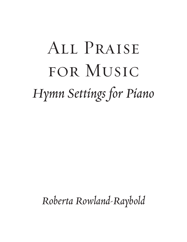# All Praise for Music *Hymn Settings for Piano*

*Roberta Rowland-Raybold*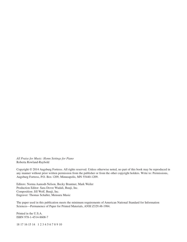*All Praise for Music: Hymn Settings for Piano* Roberta Rowland-Raybold

Copyright © 2014 Augsburg Fortress. All rights reserved. Unless otherwise noted, no part of this book may be reproduced in any manner without prior written permission from the publisher or from the other copyright holders. Write to: Permissions, Augsburg Fortress, P.O. Box 1209, Minneapolis, MN 55440-1209.

Editors: Norma Aamodt-Nelson, Becky Brantner, Mark Weiler Production Editor: Sara Dovre Wudali, Buuji, Inc. Composition: Jill Wolf, Buuji, Inc. Engraver: Thomas Schaller, Mensura Music

The paper used in this publication meets the minimum requirements of American National Standard for Information Sciences—Permanence of Paper for Printed Materials, ANSI Z329.48-1984.

Printed in the U.S.A. ISBN 978-1-4514-8608-7

18 17 16 15 14 1 2 3 4 5 6 7 8 9 10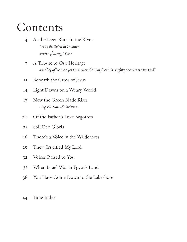# Contents

- 4 As the Deer Runs to the River *Praise the Spirit in Creation Source of Living Water*
- 7 A Tribute to Our Heritage *a medley of "Mine Eyes Have Seen the Glory" and "A Mighty Fortress Is Our God"*
- 11 Beneath the Cross of Jesus
- 14 Light Dawns on a Weary World
- 17 Now the Green Blade Rises *Sing We Now of Christmas*
- 20 Of the Father's Love Begotten
- 23 Soli Deo Gloria
- 26 There's a Voice in the Wilderness
- 29 They Crucified My Lord
- 32 Voices Raised to You
- 35 When Israel Was in Egypt's Land
- 38 You Have Come Down to the Lakeshore
- 44 Tune Index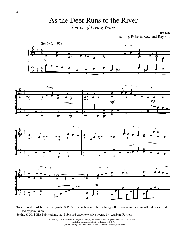## As the Deer Runs to the River *Source of Living Water*

**JULION** setting, Roberta Rowland-Raybold









Tune: David Hurd, b. 1950; copyright © 1983 GIA Publications, Inc., Chicago, IL. www.giamusic.com. All rights reserved. Used by permission.

Setting © 2014 GIA Publications, Inc. Published under exclusive license by Augsburg Fortress.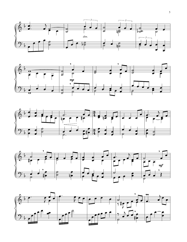







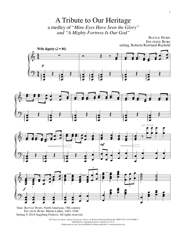BATTLE HYMN Ein feste Burg setting, Roberta Rowland-Raybold

œ œ



Tune: BATTLE HYMN, North American, 19th century Ein feste Burg, Martin Luther, 1483–1546 Setting © 2014 Augsburg Fortress. All rights reserved.

œ e<br>L œ œ œ œ œ œ œ

œ

œ

œ œ œ

œ e<br>E œ œ e<br>L œ

> *All Praise for Music: Hymn Settings for Piano*, by Roberta Rowland-Raybold, ISBN 978-1-4514-8608-7 Published by Augsburg Fortress. Printed in U.S.A. Duplication in any form prohibited without publisher's written permission.

œ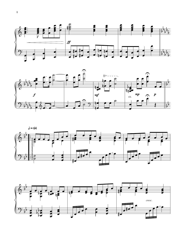





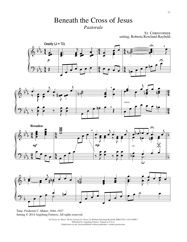#### Beneath the Cross of Jesus *Pastorale*

St. Christopher setting, Roberta Rowland-Raybold









Tune: Frederick C. Maker, 1844–1927 Setting © 2014 Augsburg Fortress. All rights reserved.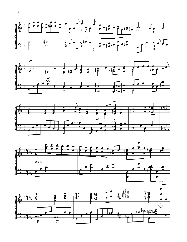







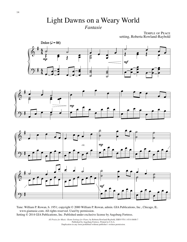#### Light Dawns on a Weary World *Fantasie*

Temple of Peace setting, Roberta Rowland-Raybold









Tune: William P. Rowan, b. 1951; copyright © 2000 William P. Rowan, admin. GIA Publications, Inc., Chicago, IL. www.giamusic.com. All rights reserved. Used by permission. Setting © 2014 GIA Publications, Inc. Published under exclusive license by Augsburg Fortress.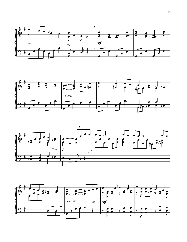





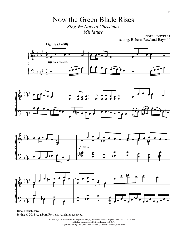#### Now the Green Blade Rises *Sing We Now of Christmas Miniature*

Noël nouvelet setting, Roberta Rowland-Raybold









Tune: French carol Setting © 2014 Augsburg Fortress. All rights reserved.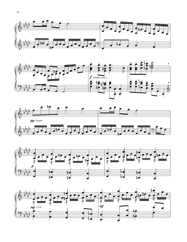







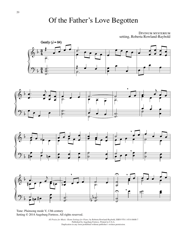# Of the Father's Love Begotten

Divinum mysterium setting, Roberta Rowland-Raybold









Tune: Plainsong mode V, 13th century Setting © 2014 Augsburg Fortress. All rights reserved.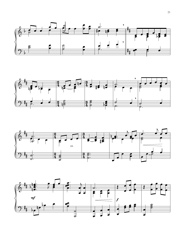





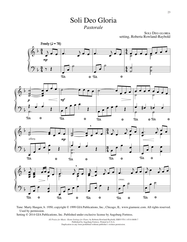Soli Deo gloria setting, Roberta Rowland-Raybold









Tune: Marty Haugen, b. 1950; copyright © 1999 GIA Publications, Inc., Chicago, IL. www.giamusic.com. All rights reserved. Used by permission.

Setting © 2014 GIA Publications, Inc. Published under exclusive license by Augsburg Fortress.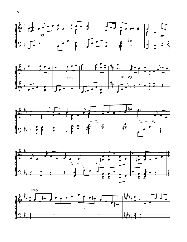







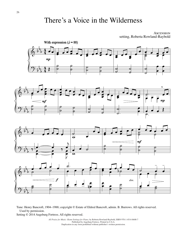# There's a Voice in the Wilderness

**ASCENSION** setting, Roberta Rowland-Raybold







Tune: Henry Bancroft, 1904–1988; copyright © Estate of Eldred Bancroft, admin. B. Burrows. All rights reserved. Used by permission.

Setting © 2014 Augsburg Fortress. All rights reserved.

*All Praise for Music: Hymn Settings for Piano*, by Roberta Rowland-Raybold, ISBN 978-1-4514-8608-7 Published by Augsburg Fortress. Printed in U.S.A. Duplication in any form prohibited without publisher's written permission.

 $\pmb{\phi}$ 

 $\Theta$ :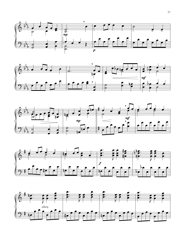







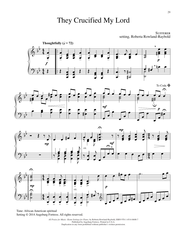# They Crucified My Lord

**SUFFERER** setting, Roberta Rowland-Raybold









Tune: African American spiritual Setting © 2014 Augsburg Fortress. All rights reserved.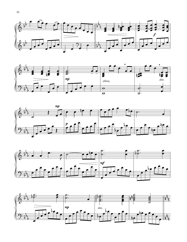







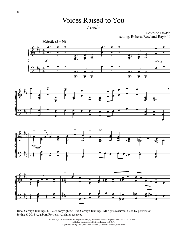### Voices Raised to You *Finale*

Song of Praise setting, Roberta Rowland-Raybold









Tune: Carolyn Jennings, b. 1936; copyright © 1996 Carolyn Jennings. All rights reserved. Used by permission. Setting © 2014 Augsburg Fortress. All rights reserved.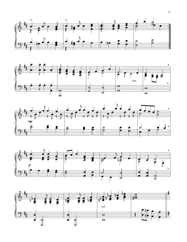







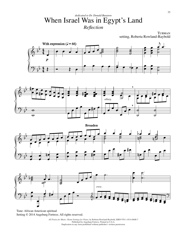#### *dedicated to Dr. Donald Busarow* When Israel Was in Egypt's Land *Reflection*

**TUBMAN** setting, Roberta Rowland-Raybold









Tune: African American spiritual Setting © 2014 Augsburg Fortress. All rights reserved.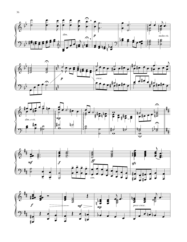







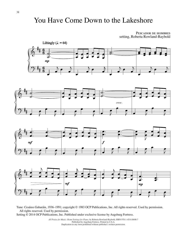# You Have Come Down to the Lakeshore

Pescador de hombres setting, Roberta Rowland-Raybold









Tune: Cesáreo Gabaráin, 1936–1991; copyright © 1983 OCP Publications, Inc. All rights reserved. Used by permission. All rights reserved. Used by permission.

Setting © 2014 OCP Publications, Inc. Published under exclusive license by Augsburg Fortress.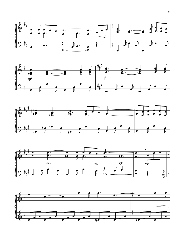